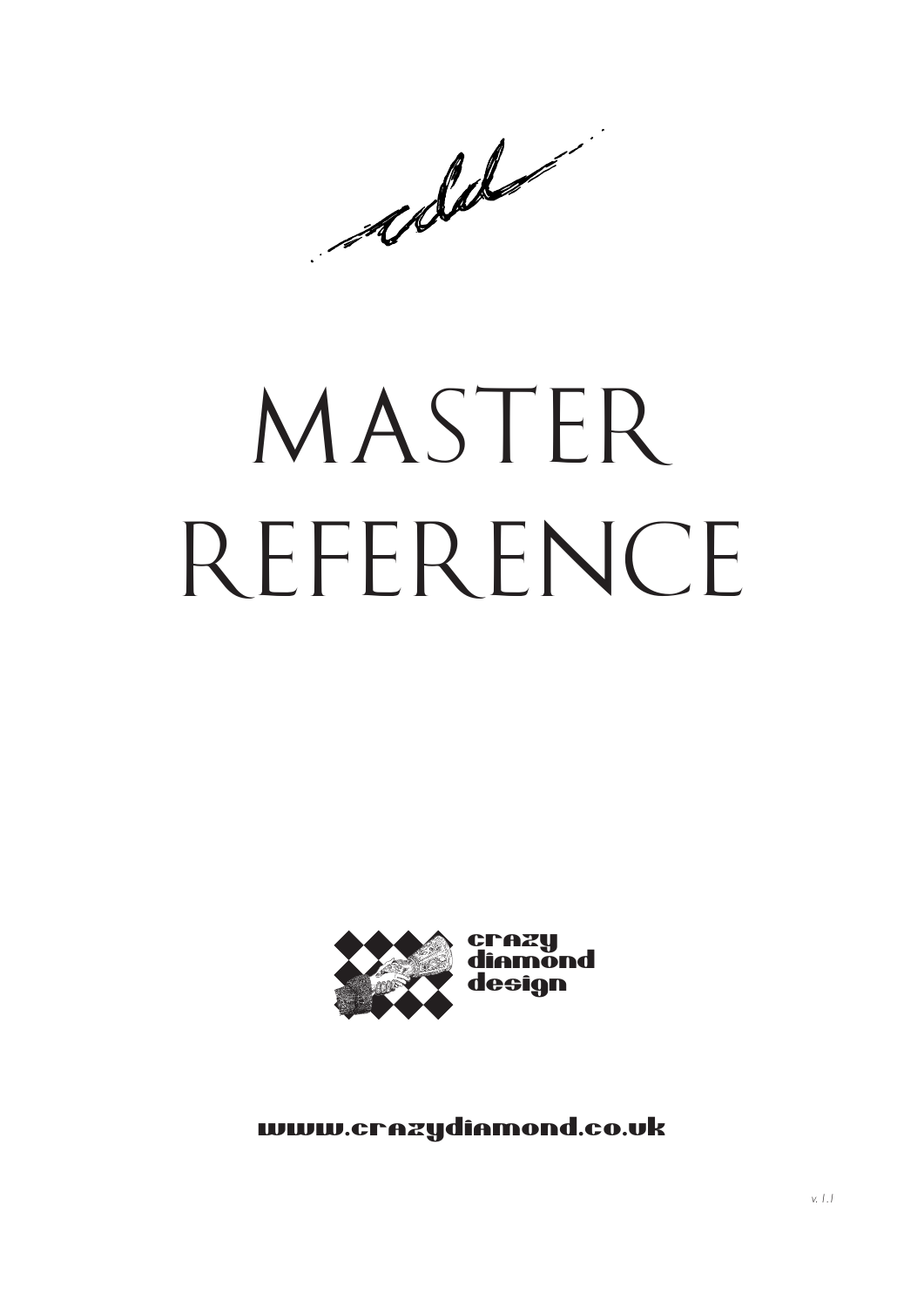adde

# *MAST ER RE F ERENC E*



www.crazydiamond.co.uk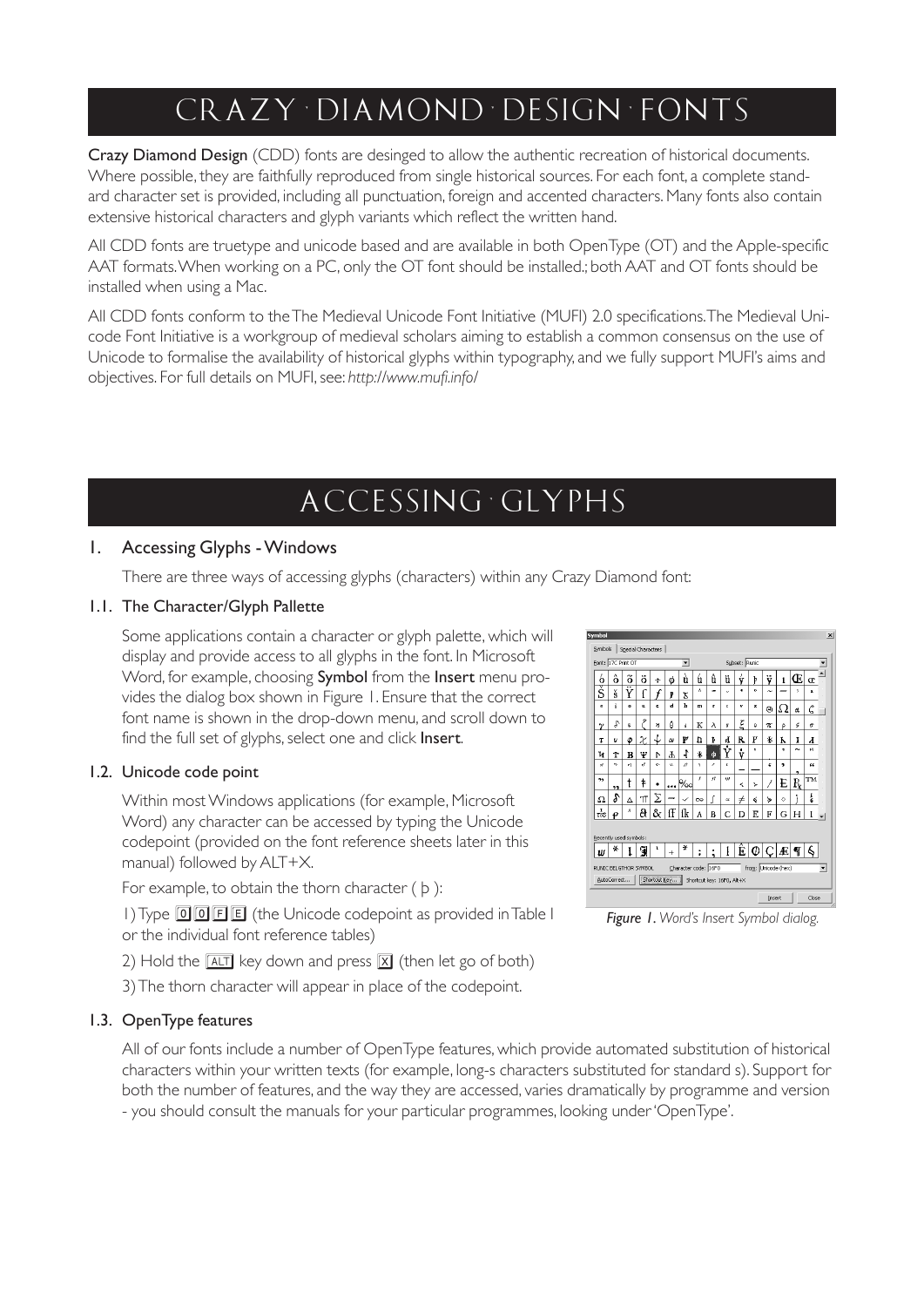# *c r a zy · d i am on d · d e s i g n · f on t s*

Crazy Diamond Design (CDD) fonts are desinged to allow the authentic recreation of historical documents. Where possible, they are faithfully reproduced from single historical sources. For each font, a complete standard character set is provided, including all punctuation, foreign and accented characters. Many fonts also contain extensive historical characters and glyph variants which reflect the written hand.

All CDD fonts are truetype and unicode based and are available in both OpenType (OT) and the Apple-specific AAT formats. When working on a PC, only the OT font should be installed.; both AAT and OT fonts should be installed when using a Mac.

All CDD fonts conform to the The Medieval Unicode Font Initiative (MUFI) 2.0 specifications. The Medieval Unicode Font Initiative is a workgroup of medieval scholars aiming to establish a common consensus on the use of Unicode to formalise the availability of historical glyphs within typography, and we fully support MUFI's aims and objectives. For full details on MUFI, see: *http://www.mufi.info/*

## *a c c e s s i n g g ly p h s*

#### 1. Accessing Glyphs - Windows

There are three ways of accessing glyphs (characters) within any Crazy Diamond font:

#### 1.1. The Character/Glyph Pallette

Some applications contain a character or glyph palette, which will display and provide access to all glyphs in the font. In Microsoft Word, for example, choosing **Symbol** from the **Insert** menu provides the dialog box shown in Figure 1. Ensure that the correct font name is shown in the drop-down menu, and scroll down to find the full set of glyphs, select one and click Insert.

#### 1.2. Unicode code point

Within most Windows applications (for example, Microsoft Word) any character can be accessed by typing the Unicode codepoint (provided on the font reference sheets later in this manual) followed by ALT+X.

For example, to obtain the thorn character ( þ ):

1) Type 回回目目 (the Unicode codepoint as provided in Table I or the individual font reference tables)

- 2) Hold the  $\boxed{\text{ALT}}$  key down and press  $\boxed{\text{X}}$  (then let go of both)
- 3) The thorn character will appear in place of the codepoint.

#### 1.3. OpenType features

All of our fonts include a number of OpenType features, which provide automated substitution of historical characters within your written texts (for example, long-s characters substituted for standard s). Support for both the number of features, and the way they are accessed, varies dramatically by programme and version - you should consult the manuals for your particular programmes, looking under 'OpenType'.



*Figure 1. Word's Insert Symbol dialog.*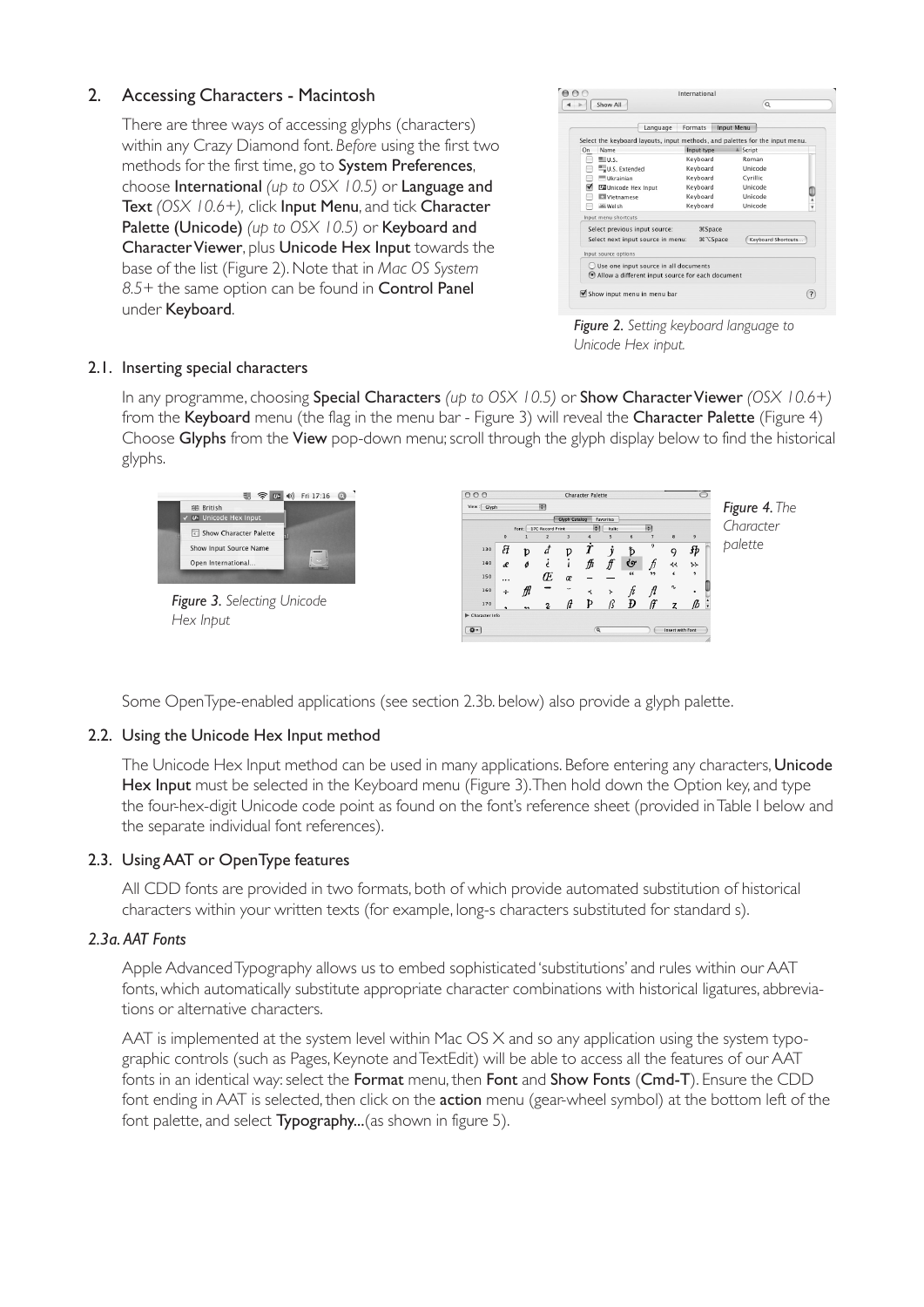#### 2. Accessing Characters - Macintosh

There are three ways of accessing glyphs (characters) within any Crazy Diamond font. *Before* using the first two methods for the first time, go to System Preferences, choose International *(up to OSX 10.5)* or Language and Text *(OSX 10.6+),* click Input Menu, and tick Character Palette (Unicode) *(up to OSX 10.5)* or Keyboard and Character Viewer, plus Unicode Hex Input towards the base of the list (Figure 2). Note that in *Mac OS System 8.5+* the same option can be found in Control Panel under Keyboard.

|    | Language                                                                     | Formats         | <b>Input Menu</b>   |
|----|------------------------------------------------------------------------------|-----------------|---------------------|
|    | Select the keyboard layouts, input methods, and palettes for the input menu. |                 |                     |
| On | Name                                                                         | Input type      | <sup>4</sup> Script |
|    | $m = U.S.$                                                                   | Keyboard        | Roman               |
|    | U.S. Extended                                                                | Keyboard        | Unicode             |
|    | Ukrainian                                                                    | Keyboard        | Cyrillic            |
| ⊽  | <b>LE Unicode Hex Input</b>                                                  | Keyboard        | Unicode             |
|    | <b>ET Vietnamese</b>                                                         | Keyboard        | Unicode             |
|    | ag Welsh                                                                     | Keyboard        | Unicode             |
|    | Input menu shortcuts                                                         |                 |                     |
|    | Select previous input source:                                                | <b></b> Space   |                     |
|    | Select next input source in menu:                                            | <b>% ℃Space</b> | Keyboard Shortcuts  |
|    | Input source options                                                         |                 |                     |
|    | Use one input source in all documents                                        |                 |                     |
|    | Allow a different input source for each document                             |                 |                     |

*Figure 2. Setting keyboard language to Unicode Hex input.*

#### 2.1. Inserting special characters

In any programme, choosing Special Characters *(up to OSX 10.5)* or Show Character Viewer *(OSX 10.6+)* from the Keyboard menu (the flag in the menu bar - Figure 3) will reveal the Character Palette (Figure 4) Choose Glyphs from the View pop-down menu; scroll through the glyph display below to find the historical glyphs.



Some OpenType-enabled applications (see section 2.3b. below) also provide a glyph palette.

#### 2.2. Using the Unicode Hex Input method

The Unicode Hex Input method can be used in many applications. Before entering any characters, Unicode Hex Input must be selected in the Keyboard menu (Figure 3). Then hold down the Option key, and type the four-hex-digit Unicode code point as found on the font's reference sheet (provided in Table I below and the separate individual font references).

#### 2.3. Using AAT or OpenType features

All CDD fonts are provided in two formats, both of which provide automated substitution of historical characters within your written texts (for example, long-s characters substituted for standard s).

#### *2.3a. AAT Fonts*

Apple Advanced Typography allows us to embed sophisticated 'substitutions' and rules within our AAT fonts, which automatically substitute appropriate character combinations with historical ligatures, abbreviations or alternative characters.

AAT is implemented at the system level within Mac OS X and so any application using the system typographic controls (such as Pages, Keynote and TextEdit) will be able to access all the features of our AAT fonts in an identical way: select the **Format** menu, then **Font** and **Show Fonts (Cmd-T)**. Ensure the CDD font ending in AAT is selected, then click on the action menu (gear-wheel symbol) at the bottom left of the font palette, and select Typography...(as shown in figure 5).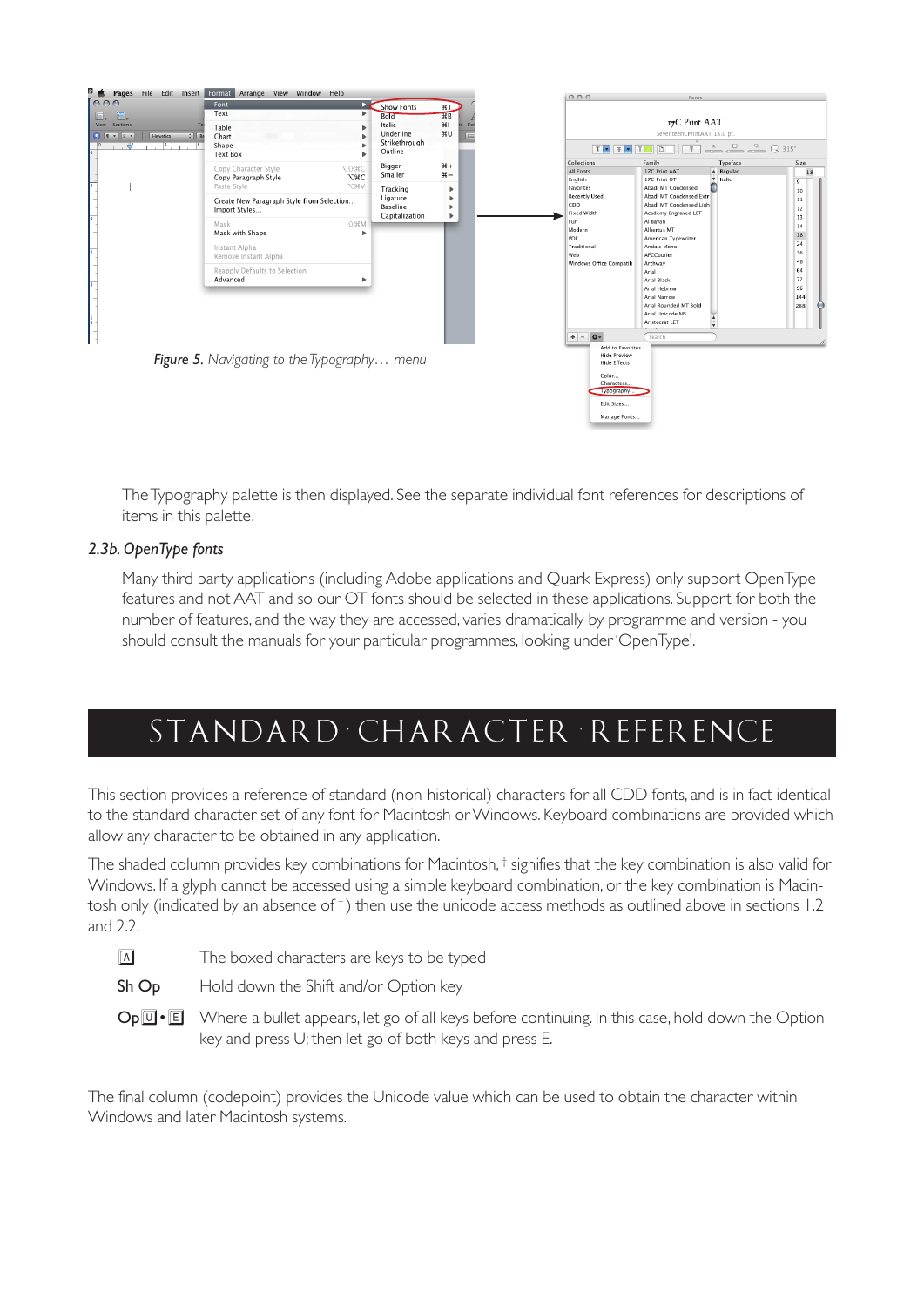

The Typography palette is then displayed. See the separate individual font references for descriptions of items in this palette.

#### *2.3b. OpenType fonts*

Many third party applications (including Adobe applications and Quark Express) only support OpenType features and not AAT and so our OT fonts should be selected in these applications. Support for both the number of features, and the way they are accessed, varies dramatically by programme and version - you should consult the manuals for your particular programmes, looking under 'OpenType'.

# *s ta n d a r d c h a r a c t e r r e f e r e n c e*

This section provides a reference of standard (non-historical) characters for all CDD fonts, and is in fact identical to the standard character set of any font for Macintosh or Windows. Keyboard combinations are provided which allow any character to be obtained in any application.

The shaded column provides key combinations for Macintosh, $^\dagger$  signifies that the key combination is also valid for Windows. If a glyph cannot be accessed using a simple keyboard combination, or the key combination is Macintosh only (indicated by an absence of  $^{\dagger}$ ) then use the unicode access methods as outlined above in sections 1.2 and 2.2.

- a The boxed characters are keys to be typed
- Sh Op Hold down the Shift and/or Option key
- $Op[**u**•**E**]$  Where a bullet appears, let go of all keys before continuing. In this case, hold down the Option key and press U; then let go of both keys and press E.

The final column (codepoint) provides the Unicode value which can be used to obtain the character within Windows and later Macintosh systems.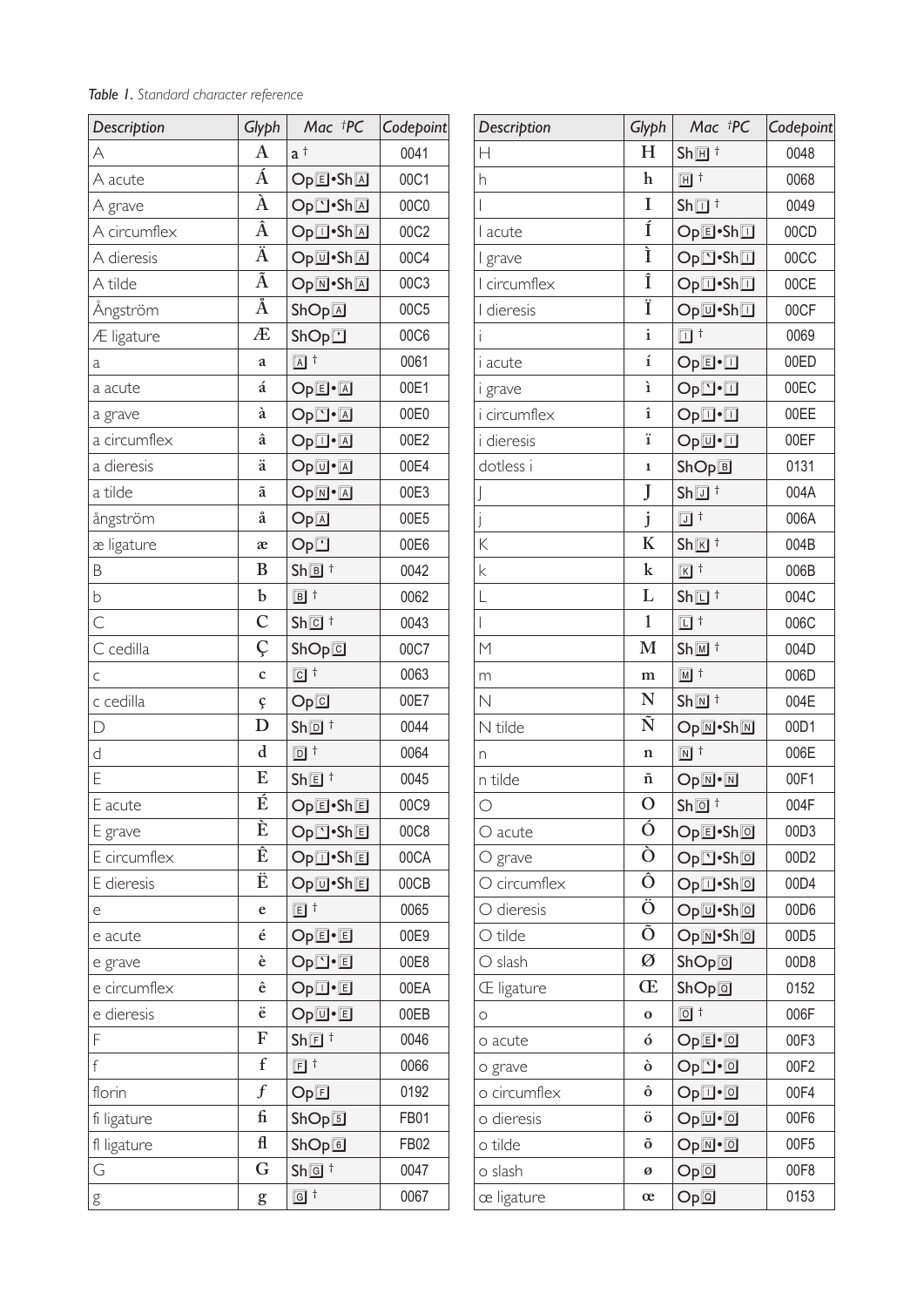| Description  | Glyph                           | $Mac$ ${}^{\dagger}PC$                                   | Codepoint |
|--------------|---------------------------------|----------------------------------------------------------|-----------|
| А            | $\mathbf{A}$                    | $a^{\dagger}$                                            | 0041      |
| A acute      | Á                               | Op <b>e</b> ·ShA                                         | 00C1      |
| A grave      | $\overline{\lambda}$            | Op <b><sup>-Sh</sup></b>                                 | 00C0      |
| A circumflex | $\overline{\hat{\rm A}}$        | Op <sub>[1</sub> •Sh <sub>[4]</sub>                      | 00C2      |
| A dieresis   | $\overline{\H{A}}$              | Op <sub>[0</sub> •Sh]                                    | 00C4      |
| A tilde      | $\overline{\tilde{\mathrm{A}}}$ | Op <b><sub>M•ShA</sub></b>                               | 00C3      |
| Ångström     | $\AA$                           | ShOp[ <sub>A</sub> ]                                     | 00C5      |
| Æ ligature   | Æ                               | ShOp                                                     | 00C6      |
| a            | a                               | $\boxed{\mathsf{A}}$ t                                   | 0061      |
| a acute      | á                               | $OpE \cdot A$                                            | 00E1      |
| a grave      | à                               | $Op$ <sup><math>\cdot</math><math>A</math></sup>         | 00E0      |
| a circumflex | â                               | $Op\overline{\mathbb{D}}\cdot\overline{\mathbb{A}}$      | 00E2      |
| a dieresis   | ä                               | $Op$ <sup><math>\overline{u}</math></sup> $\overline{A}$ | 00E4      |
| a tilde      | ã                               | $OpM^{\bullet}A$                                         | 00E3      |
| ångström     | å                               | Op[ <sub>A</sub> ]                                       | 00E5      |
| æ ligature   | æ                               | Op <sup>T</sup>                                          | 00E6      |
| B            | B                               | $Sh\overline{\mathbb{B}}$ <sup>†</sup>                   | 0042      |
| b            | b                               | $\boxed{B}$ t                                            | 0062      |
| $\subset$    | $\mathbf C$                     | $Sh@$ <sup>†</sup>                                       | 0043      |
| C cedilla    | Ç                               | ShOp@                                                    | 00C7      |
| C            | $\mathbf c$                     | $\boxed{C}$ t                                            | 0063      |
| c cedilla    | ç                               | Op@                                                      | 00E7      |
| D            | D                               | $Sh\overline{\mathbb{D}}$ <sup>†</sup>                   | 0044      |
| d            | $\mathbf d$                     | $\Box$ $^{\dagger}$                                      | 0064      |
| E            | E                               | Sh回 <sup>†</sup>                                         | 0045      |
| E acute      | É                               | Op回·Sh回                                                  | 00C9      |
| E grave      | È                               | Op <b><sup>-</sup>Sh</b>                                 | 00C8      |
| E circumflex | Ê                               | Op <sub>[1</sub> •Sh]                                    | 00CA      |
| E dieresis   | Ë                               | Op <sub>[0</sub> •Sh]                                    | 00CB      |
| е            | e                               | $E^{\dagger}$                                            | 0065      |
| e acute      | é                               | Op <b>e</b> •回                                           | 00E9      |
| e grave      | è                               | Op <b>□</b> •回                                           | 00E8      |
| e circumflex | ê                               | Op <sub>[1</sub> •回                                      | 00EA      |
| e dieresis   | ë                               | Op <sub>[0</sub> •回                                      | 00EB      |
| F            | F                               | $Sh\overline{\mathbb{E}}$ <sup>†</sup>                   | 0046      |
| $\mathsf f$  | $\mathbf f$                     | $E^{\dagger}$                                            | 0066      |
| florin       | $\boldsymbol{f}$                | OpE                                                      | 0192      |
| fi ligature  | fi                              | ShOp5                                                    | FB01      |
| fl ligature  | $\mathbf{f}$                    | ShOp@                                                    | FB02      |
| G            | G                               | Sh@f                                                     | 0047      |
| g            | g                               | $\boxed{G}$ t                                            | 0067      |

| Description              | Glyph                         | Mac <sup>†</sup> PC                                                                   | Codepoint        |
|--------------------------|-------------------------------|---------------------------------------------------------------------------------------|------------------|
| $\overline{\mathsf{H}}$  | $H_{\rm}$                     | $Sh\overline{H}$ <sup>+</sup>                                                         | 0048             |
| h                        | $\mathbf h$                   | 间†                                                                                    | 0068             |
| $\overline{1}$           | I                             | $Sh\overline{\mathbb{Z}}$ <sup>†</sup>                                                | 0049             |
| l acute                  | Í                             | Op回·Sh回                                                                               | 00CD             |
| I grave                  | Ì                             | Op <b><sup>-Sh</sup></b>                                                              | 00CC             |
| I circumflex             | Î                             | Op <sub>[1</sub> •Sh <sub>11</sub> ]                                                  | 00CE             |
| I dieresis               | Ï                             | Op <sub>[[1</sub> •Sh]                                                                | 00CF             |
| $\overline{1}$           | $\mathbf{i}$                  | $\Box$ <sup>+</sup>                                                                   | 0069             |
| <i>i</i> acute           | $\mathbf i$                   | $OpE \cdot \Box$                                                                      | 00ED             |
| i grave                  | ì                             | $Op$ <sup><math>\cdot</math></sup> $\Box$                                             | 00EC             |
| i circumflex             | $\hat{\mathbf{1}}$            | $Op\overline{\mathbb{D}}\cdot\overline{\mathbb{D}}$                                   | 00EE             |
| <i>i</i> dieresis        | ï                             | $Op$ <sup><math>\Box</math></sup>                                                     | 00EF             |
| dotless i                | $\mathbf{1}$                  | ShOpE                                                                                 | 0131             |
| J                        | J                             | $Sh\overline{\mathbb{U}}$ <sup>†</sup>                                                | 004A             |
| j                        | $\mathbf{j}$                  | $\Box$ <sup>+</sup>                                                                   | 006A             |
| K                        | K                             | $Sh\overline{K}$ <sup>+</sup>                                                         | 004B             |
| $\mathsf k$              | $\mathbf k$                   | $\boxed{K}$ t                                                                         | 006B             |
| L                        | L                             | $Sh\overline{\mathbb{Z}}$ <sup>†</sup>                                                | 004C             |
| $\overline{\phantom{a}}$ | $\mathbf 1$                   | $\Box$ <sup>+</sup>                                                                   | 006C             |
| $\mathsf{M}$             | $\mathbf{M}$                  | $Sh\overline{M}$ t                                                                    | 004D             |
| m                        | m                             | $\boxed{M}$ t                                                                         | 006D             |
| $\mathbb N$              | N                             | $Sh\overline{M}$ <sup>+</sup>                                                         | 004E             |
| N tilde                  | Ñ                             | OpM•ShM                                                                               | 00D1             |
| n                        | $\mathbf n$                   | $\boxed{N}$ t                                                                         | 006E             |
| n tilde                  | ñ                             | $Op$ <sup><math>\overline{\mathbb{N}}</math>•<math>\overline{\mathbb{N}}</math></sup> | 00F1             |
| $\bigcirc$               | $\mathcal{O}$                 | $Sh@$ <sup>†</sup>                                                                    | 004F             |
| O acute                  | Ó                             | Op回·Sh回                                                                               | 00D3             |
| $O$ grave                | Ò                             | Op <b>□·Sh</b> 回                                                                      | 00D2             |
| O circumflex             | $\overline{\hat{\mathrm{O}}}$ | Op <sub>[1</sub> ·Sh <b></b> ]                                                        | 00D4             |
| O dieresis               | $\overline{\bullet}$          | Op <sub>[0</sub> ·Sh]                                                                 | 00D6             |
| O tilde                  | $\bar{\mathsf{o}}$            | OpM•Sh回                                                                               | 00D <sub>5</sub> |
| O slash                  | Ø                             | ShOp@                                                                                 | 00D8             |
| <b>E</b> ligature        | Œ                             | ShOp@                                                                                 | 0152             |
| O                        | $\mathbf 0$                   | $\boxed{0}$ t                                                                         | 006F             |
| o acute                  | ó                             | $OpE \cdot D$                                                                         | 00F3             |
| o grave                  | ò                             | $Op^{\frown}$ $@$                                                                     | 00F2             |
| o circumflex             | ô                             | $Op\overline{\mathbb{O}}$ • $\overline{\mathbb{O}}$                                   | 00F4             |
| o dieresis               | $\ddot{\text{o}}$             | $Op$ <sup><math>\overline{u}</math></sup> $\overline{a}$                              | 00F6             |
| o tilde                  | $\tilde{\text{o}}$            | $Op@{\cdot}@$                                                                         | 00F5             |
| o slash                  | Ø                             | Op@                                                                                   | 00F8             |
| œ ligature               | œ                             | Op@                                                                                   | 0153             |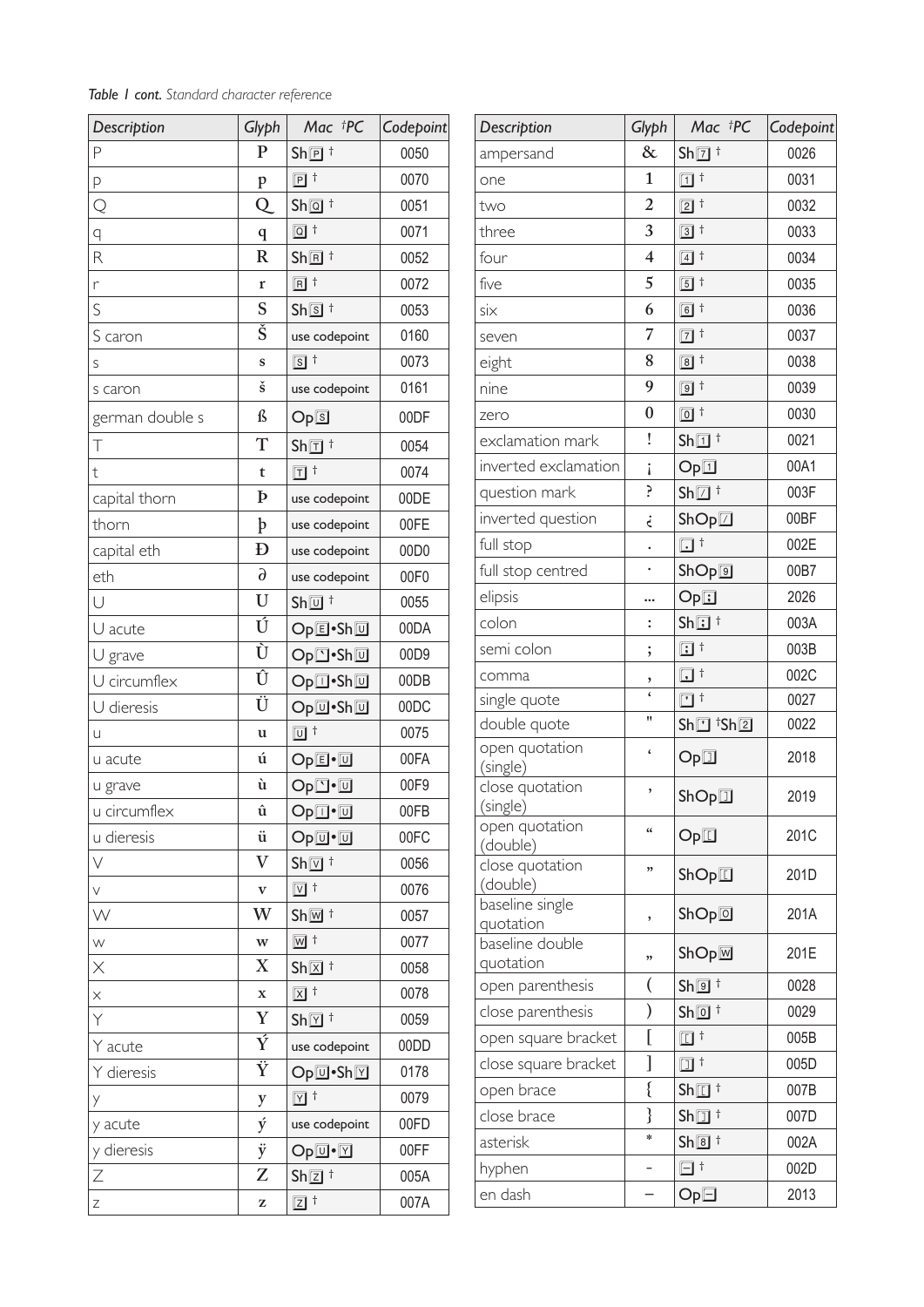| Table I cont. Standard character reference |  |
|--------------------------------------------|--|
|--------------------------------------------|--|

| Description             | Glyph                         | Mac †PC                                 | Codepoint        |
|-------------------------|-------------------------------|-----------------------------------------|------------------|
| P                       | $\mathbf{P}$                  | $Sh\overline{p}$ <sup>+</sup>           | 0050             |
| P                       | $\mathbf{p}$                  | $\boxed{P}$ t                           | 0070             |
| $\overline{Q}$          | Q                             | Sh@f                                    | 0051             |
| q                       | $\mathbf q$                   | $\boxed{Q}$ t                           | 0071             |
| R                       | $\overline{\text{R}}$         | $Sh\overline{B}$ <sup>+</sup>           | 0052             |
| r                       | r                             | $\boxed{R}$ t                           | 0072             |
| S                       | S                             | $Sh\overline{S}$ <sup>+</sup>           | 0053             |
| S caron                 | $\check{\S}$                  | use codepoint                           | 0160             |
| S                       | $\mathbf{s}$                  | $\boxed{s}$ t                           | 0073             |
| s caron                 | $\check{\mathbf{s}}$          | use codepoint                           | 0161             |
| german double s         | ß                             | Op5                                     | 00DF             |
| T                       | T                             | $Sh\overline{\mathbb{1}}$ <sup>†</sup>  | 0054             |
| $\mathfrak t$           | $\mathbf t$                   | $\Pi$ <sup>+</sup>                      | 0074             |
| capital thorn           | Þ                             | use codepoint                           | 00DE             |
| thorn                   | þ                             | use codepoint                           | 00FE             |
| capital eth             | Đ                             | use codepoint                           | 00D <sub>0</sub> |
| eth                     | $\partial$                    | use codepoint                           | 00F0             |
| Ū                       | U                             | $Sh\overline{u}$ <sup>+</sup>           | 0055             |
| U acute                 | Ú                             | Op回•Sh回                                 | 00DA             |
| U grave                 | $\overline{\dot{\textbf{U}}}$ | Op⊡•Sh回                                 | 00D9             |
| U circumflex            | $\overline{\hat{\mathbf{U}}}$ | Op⊡•Sh回                                 | 00DB             |
| U dieresis              | Ü                             | Op回·Sh回                                 | 00DC             |
| U                       | u                             | $\overline{u}$ t                        | 0075             |
| u acute                 | ú                             | $OpE \cdot \Box$                        | 00FA             |
| u grave                 | ù                             | Op⊡∙⊡                                   | 00F9             |
| u circumflex            | û                             | $Op$ <sup>-<math>\Box</math></sup>      | 00FB             |
| u dieresis              | ü                             | $Op$ <sup><math>\mathbf{u}</math></sup> | 00FC             |
| $\vee$                  | $\rm V$                       | $Sh\overline{\mathbb{V}}$ <sup>†</sup>  | 0056             |
| $\vee$                  | $\mathbf{V}$                  | $\boxed{v}$ t                           | 0076             |
| W                       | W                             | $Sh\overline{w}$ <sup>+</sup>           | 0057             |
| W                       | $\ensuremath{\text{W}}$       | $\overline{\mathbb{W}}$ t               | 0077             |
| $\overline{\mathsf{x}}$ | $\boldsymbol{\mathrm{X}}$     | $Sh \overline{\boxtimes}$ †             | 0058             |
| $\times$                | $\mathbf x$                   | $\boxed{x}$ t                           | 0078             |
| Y                       | Y                             | $Sh\overline{\boxtimes}$ †              | 0059             |
| Y acute                 | $\overline{\rm Y}$            | use codepoint                           | 00DD             |
| Y dieresis              | $\overline{\ddot{Y}}$         | Op回•Sh⊠                                 | 0178             |
| Y                       | y                             | $\sqrt{7}$ t                            | 0079             |
| y acute                 | ý                             | use codepoint                           | 00FD             |
| y dieresis              | ÿ                             | $Op$ <sup><math>\mathbf{V}</math></sup> | 00FF             |
| $\overline{2}$          | Z                             | $Sh\overline{\mathbb{Z}}$ <sup>†</sup>  | 005A             |
| Ζ                       | Z                             | $\boxed{Z}$ t                           | 007A             |

| Description                  | Glyph                   | Mac †PC                                         | Codepoint |
|------------------------------|-------------------------|-------------------------------------------------|-----------|
| ampersand                    | $\&$                    | $Sh\overline{2}$ <sup>+</sup>                   | 0026      |
| one                          | 1                       | $\Box$ <sup>+</sup>                             | 0031      |
| two                          | $\overline{2}$          | $\boxed{2}$ t                                   | 0032      |
| three                        | 3                       | $\ddagger$<br>$\boxed{3}$                       | 0033      |
| four                         | $\overline{\mathbf{4}}$ | $\ddagger$<br>$\boxed{4}$                       | 0034      |
| five                         | 5                       | $^\dagger$<br>$\boxed{5}$                       | 0035      |
| six                          | 6                       | $\boxed{6}$<br>$\ddagger$                       | 0036      |
| seven                        | $\overline{7}$          | $\ddagger$<br>$\boxed{7}$                       | 0037      |
| eight                        | 8                       | $^\dagger$<br>$\boxed{8}$                       | 0038      |
| nine                         | 9                       | $\ddagger$<br>$\boxed{9}$                       | 0039      |
| zero                         | $\overline{0}$          | $\ddagger$<br>$\boxed{0}$                       | 0030      |
| exclamation mark             | Ţ                       | $Sh\overline{1}$ <sup>+</sup>                   | 0021      |
| inverted exclamation         | i                       | Op <sub>1</sub>                                 | 00A1      |
| question mark                | Ś.                      | $\mathsf{Sh}\overline{\Box}{}^{\dagger}$        | 003F      |
| inverted question            | j                       | $\mathsf{ShOp}\nolimits\overline{\mathbb{Z}}$   | 00BF      |
| full stop                    |                         | $\Box^{\dagger}$                                | 002E      |
| full stop centred            |                         | ShOp@                                           | 00B7      |
| elipsis                      |                         | Op                                              | 2026      |
| colon                        | $\ddot{\cdot}$          | $\mathsf{Sh}\overline{\mathbb{E}}$ <sup>†</sup> | 003A      |
| semi colon                   | ;                       | $\Box$ <sup>+</sup>                             | 003B      |
| comma                        | $\frac{1}{6}$           | $\Box$<br>$\ddagger$                            | 002C      |
| single quote                 |                         | $\Box$ t                                        | 0027      |
| double quote                 | Ħ                       | $\mathsf{Sh}\square$ $\mathsf{^tSh}\boxtimes$   | 0022      |
| open quotation<br>(single)   | $\pmb{\zeta}$           | Op                                              | 2018      |
| close quotation<br>(single)  | ,                       | ShOp                                            | 2019      |
| open quotation<br>(double)   | $\epsilon$              | Op                                              | 201C      |
| close quotation<br>(double)  | ,,                      | ShOp                                            | 201D      |
| baseline single<br>quotation | ,                       | ShOp@                                           | 201A      |
| baseline double<br>quotation | ,,                      | $ShOp \overline{M}$                             | 201E      |
| open parenthesis             | (                       | Sh@f                                            | 0028      |
| close parenthesis            | )                       | $Sh\overline{0}$ $\dagger$                      | 0029      |
| open square bracket          | [                       | $\Box$ <sup>+</sup>                             | 005B      |
| close square bracket         | ]                       | $\Box$ t                                        | 005D      |
| open brace                   | $\{$                    | $Sh\overline{\mathbb{Z}}$ <sup>+</sup>          | 007B      |
| close brace                  | }                       | $\mathsf{Sh}\square$ <sup>†</sup>               | 007D      |
| asterisk                     | $\ast$                  | Sh@f                                            | 002A      |
| hyphen                       | $\overline{a}$          | $\Box$                                          | 002D      |
| en dash                      |                         | $Op\Box$                                        | 2013      |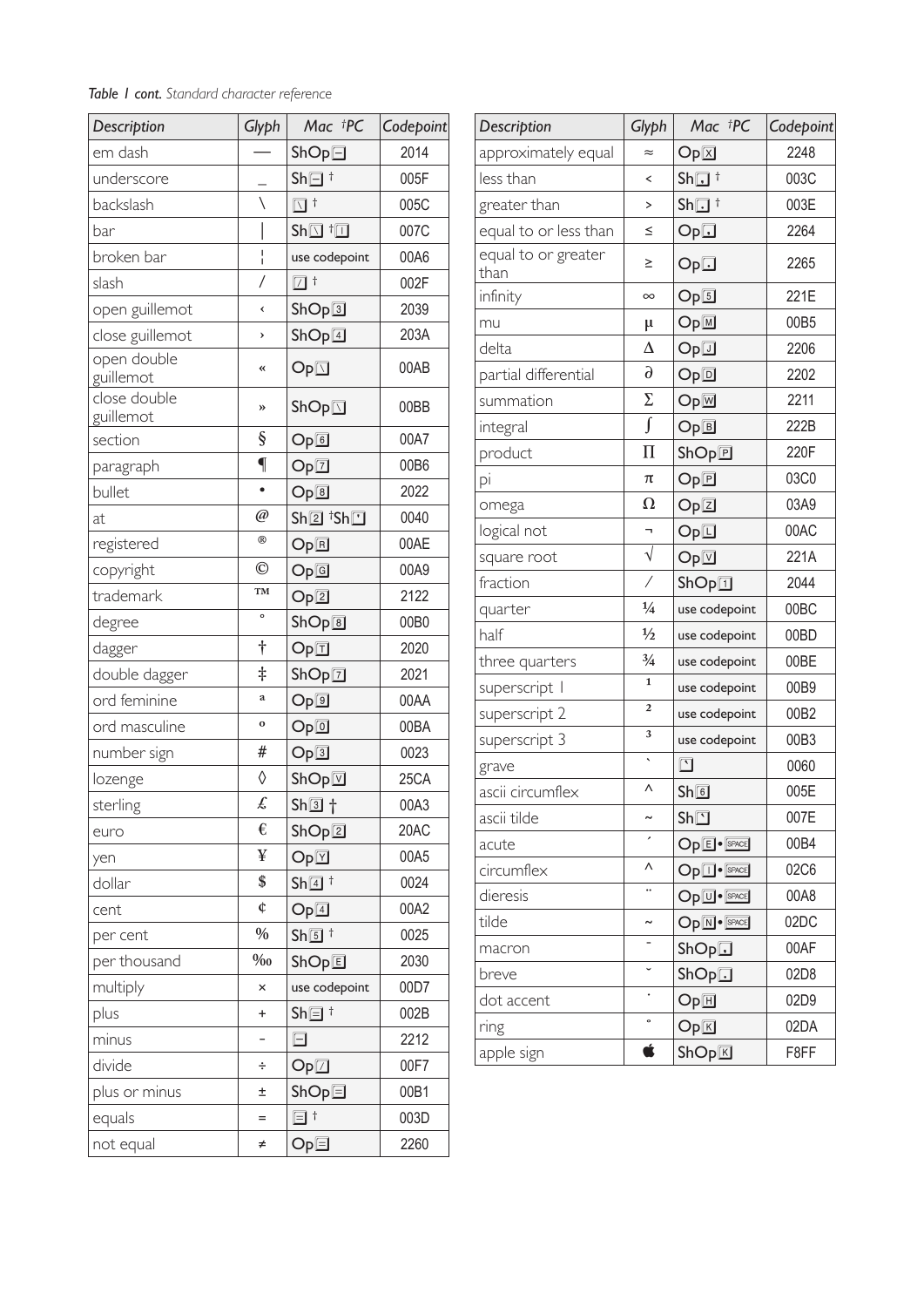#### *Table 1 cont. Standard character reference*

| Description               | Glyph           | Mac †PC                                                                 | Codepoint |
|---------------------------|-----------------|-------------------------------------------------------------------------|-----------|
| em dash                   |                 | $ShOp \Box$                                                             | 2014      |
| underscore                |                 | $Sh\Box$ <sup>+</sup>                                                   | 005F      |
| backslash                 | $\backslash$    | $\Box$ <sup>+</sup>                                                     | 005C      |
| bar                       |                 | $\mathsf{Sh}\overline{\mathbb{Q}}$ <sup>†</sup> $\overline{\mathbb{Z}}$ | 007C      |
| broken bar                | $\frac{1}{1}$   | use codepoint                                                           | 00A6      |
| slash                     | $\overline{1}$  | $\Box$ t                                                                | 002F      |
| open guillemot            | ∢               | ShOp                                                                    | 2039      |
| close guillemot           | >               | ShOp[4]                                                                 | 203A      |
| open double<br>guillemot  | «               | Op <sub>1</sub>                                                         | 00AB      |
| close double<br>guillemot | »               | $\mathsf{ShOp}\nolimits\overline{\mathbb{Z}}$                           | 00BB      |
| section                   | $\S$            | Op6                                                                     | 00A7      |
| paragraph                 | $\overline{\P}$ | Op[7]                                                                   | 00B6      |
| bullet                    |                 | Op[8]                                                                   | 2022      |
| at                        | $\emptyset$     | $Sh@$ <sup>†</sup> Sh $\square$                                         | 0040      |
| registered                | $^{\circledR}$  | Op回                                                                     | 00AE      |
| copyright                 | $\odot$         | Op@                                                                     | 00A9      |
| trademark                 | TM              | Op <b>2</b>                                                             | 2122      |
| degree                    | $\circ$         | ShOp@                                                                   | 00B0      |
| dagger                    | $\dagger$       | Op                                                                      | 2020      |
| double dagger             | $\ddagger$      | ShOp[]                                                                  | 2021      |
| ord feminine              | $\rm{a}$        | Op@                                                                     | 00AA      |
| ord masculine             | $\mathbf{o}$    | Op@                                                                     | 00BA      |
| number sign               | #               | Op <sub>3</sub>                                                         | 0023      |
| lozenge                   | ♦               | $\mathsf{ShOp}\overline{\mathbb{V}}$                                    | 25CA      |
| sterling                  | £               | $Sh\overline{3}$ $\dagger$                                              | 00A3      |
| euro                      | €               | ShOp2                                                                   | 20AC      |
| yen                       | ¥               | Op[ <sub>Y</sub> ]                                                      | 00A5      |
| dollar                    | \$              | $\mathsf{Sh}\overline{\mathsf{4}}$ <sup>†</sup>                         | 0024      |
| cent                      | ¢               | Op[4]                                                                   | 00A2      |
| per cent                  | $\%$            | $Sh\overline{5}$ $\dagger$                                              | 0025      |
| per thousand              | $\% 0$          | ShOp回                                                                   | 2030      |
| multiply                  | ×               | use codepoint                                                           | 00D7      |
| plus                      | $\ddot{}$       | $Sh\overline{\boxminus}$ <sup>†</sup>                                   | 002B      |
| minus                     | -               | $\boxdot$                                                               | 2212      |
| divide                    | ÷               | $Op\square$                                                             | 00F7      |
| plus or minus             | Ŧ               | $ShOp \Box$                                                             | 00B1      |
| equals                    | $=$             | $\boxdot$ t                                                             | 003D      |
| not equal                 | ≠               | Op⊟                                                                     | 2260      |

| Description                 | Glyph                    | Mac †PC                                         | Codepoint |
|-----------------------------|--------------------------|-------------------------------------------------|-----------|
| approximately equal         | $\approx$                | Op[ <sub>X</sub> ]                              | 2248      |
| less than                   | ≺                        | $\mathsf{Sh}\mathbf{\overline{u}}$ <sup>+</sup> | 003C      |
| greater than                | >                        | $Sh\overline{\mathbf{u}}$ <sup>+</sup>          | 003E      |
| equal to or less than       | ≤                        | Op                                              | 2264      |
| equal to or greater<br>than | ≥                        | Op                                              | 2265      |
| infinity                    | $\infty$                 | Op5                                             | 221E      |
| mu                          | $\mu$                    | OpM                                             | 00B5      |
| delta                       | $\Delta$                 | Op                                              | 2206      |
| partial differential        | $\partial$               | Op <sub>[D]</sub>                               | 2202      |
| summation                   | Σ                        | Op⊠                                             | 2211      |
| integral                    | $\int$                   | OpE                                             | 222B      |
| product                     | $\prod$                  | ShOp[]                                          | 220F      |
| pi                          | π                        | Op回                                             | 03C0      |
| omega                       | $\Omega$                 | OpZ                                             | 03A9      |
| logical not                 |                          | Op                                              | 00AC      |
| square root                 | $\sqrt{}$                | Op[ <sub>2</sub> ]                              | 221A      |
| fraction                    | Ϊ                        | ShOp                                            | 2044      |
| quarter                     | $\frac{1}{4}$            | use codepoint                                   | 00BC      |
| half                        | $\frac{1}{2}$            | use codepoint                                   | 00BD      |
| three quarters              | $\frac{3}{4}$            | use codepoint                                   | 00BE      |
| superscript                 | $\mathbf{1}$             | use codepoint                                   | 00B9      |
| superscript 2               | $\overline{\mathbf{c}}$  | use codepoint                                   | 00B2      |
| superscript 3               | 3                        | use codepoint                                   | 00B3      |
| grave                       | $\overline{\phantom{0}}$ | $\boxed{\phantom{1}}$                           | 0060      |
| ascii circumflex            | Λ                        | $Sh\overline{6}$                                | 005E      |
| ascii tilde                 |                          | $\mathsf{Sh}\overline{\square}$                 | 007E      |
| acute                       |                          | Op <sup>E</sup> · <b>SPACE</b>                  | 00B4      |
| circumflex                  | ٨                        | Op <sup><sup>o</sup>sPACE</sup>                 | 02C6      |
| dieresis                    |                          | Op <sup>U</sup> · <b>SPACE</b>                  | 00A8      |
| tilde                       | $\tilde{\phantom{a}}$    | $OpN \cdot$ SPACE                               | 02DC      |
| macron                      |                          | ShOp                                            | 00AF      |
| breve                       |                          | ShOp                                            | 02D8      |
| dot accent                  |                          | Op[ <sub>H</sub> ]                              | 02D9      |
| ring                        | $\circ$                  | Op[ <sub>K</sub> ]                              | 02DA      |
| apple sign                  | Ŕ                        | ShOpE                                           | F8FF      |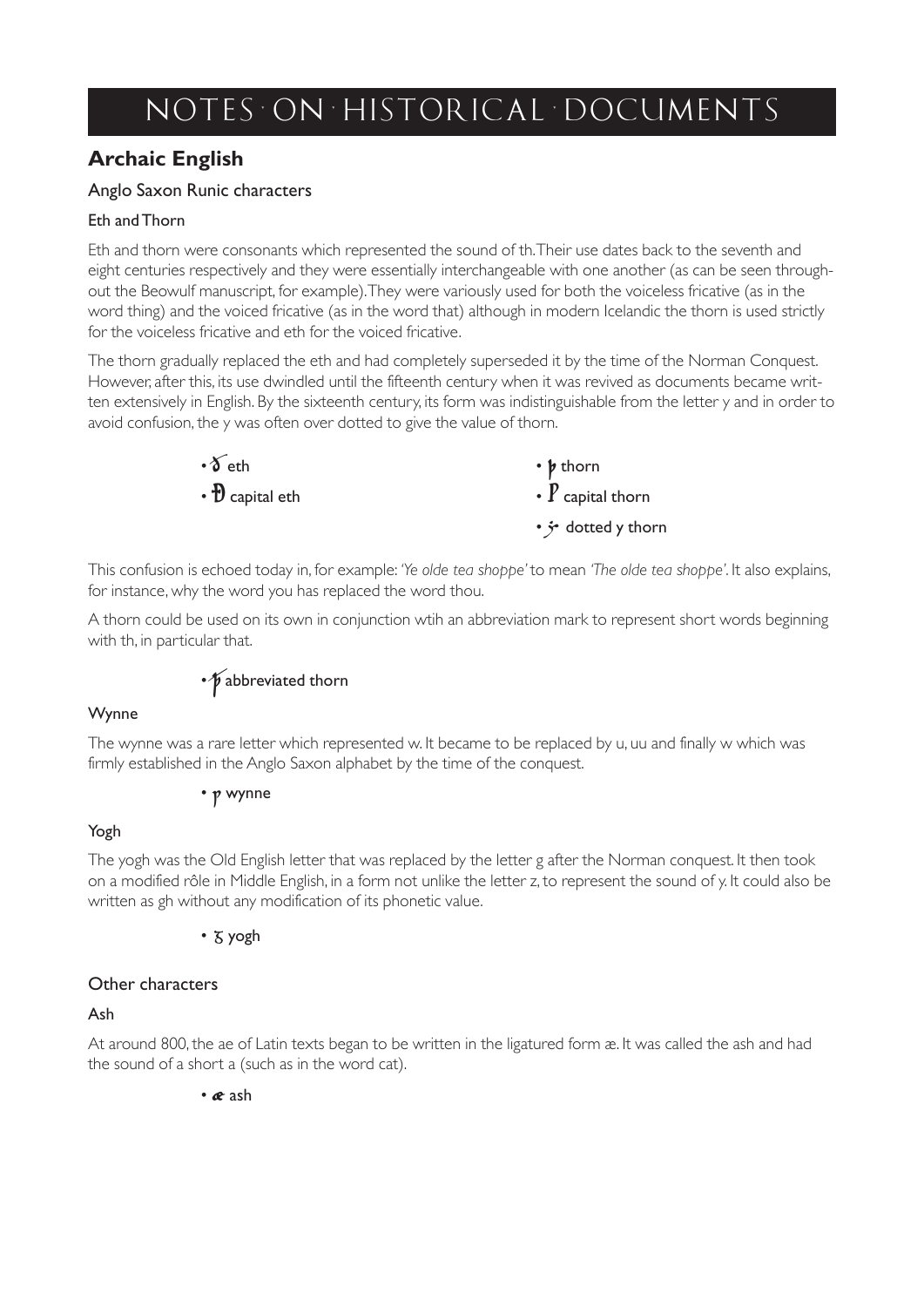# *n o t e s o n h i s to r i c a l d o c um e n t s*

## **Archaic English**

#### Anglo Saxon Runic characters

#### Eth and Thorn

Eth and thorn were consonants which represented the sound of th. Their use dates back to the seventh and eight centuries respectively and they were essentially interchangeable with one another (as can be seen throughout the Beowulf manuscript, for example). They were variously used for both the voiceless fricative (as in the word thing) and the voiced fricative (as in the word that) although in modern Icelandic the thorn is used strictly for the voiceless fricative and eth for the voiced fricative.

The thorn gradually replaced the eth and had completely superseded it by the time of the Norman Conquest. However, after this, its use dwindled until the fifteenth century when it was revived as documents became written extensively in English. By the sixteenth century, its form was indistinguishable from the letter y and in order to avoid confusion, the y was often over dotted to give the value of thorn.

| $\cdot \delta$ eth    | $\cdot \not\!$ thorn                   |
|-----------------------|----------------------------------------|
| $\cdot$ D capital eth | $\cdot$ $\boldsymbol{P}$ capital thorn |
|                       | • <i>j</i> dotted y thorn              |

This confusion is echoed today in, for example: *'Ye olde tea shoppe'* to mean *'The olde tea shoppe'*. It also explains, for instance, why the word you has replaced the word thou.

A thorn could be used on its own in conjunction wtih an abbreviation mark to represent short words beginning with th, in particular that.

## • *V* abbreviated thorn

#### Wynne

The wynne was a rare letter which represented w. It became to be replaced by u, uu and finally w which was firmly established in the Anglo Saxon alphabet by the time of the conquest.

#### • ƿ wynne

#### Yogh

The yogh was the Old English letter that was replaced by the letter g after the Norman conquest. It then took on a modified rôle in Middle English, in a form not unlike the letter z, to represent the sound of y. It could also be written as gh without any modification of its phonetic value.

#### • ʒ yogh

#### Other characters

#### Ash

At around 800, the ae of Latin texts began to be written in the ligatured form æ. It was called the ash and had the sound of a short a (such as in the word cat).

• æ ash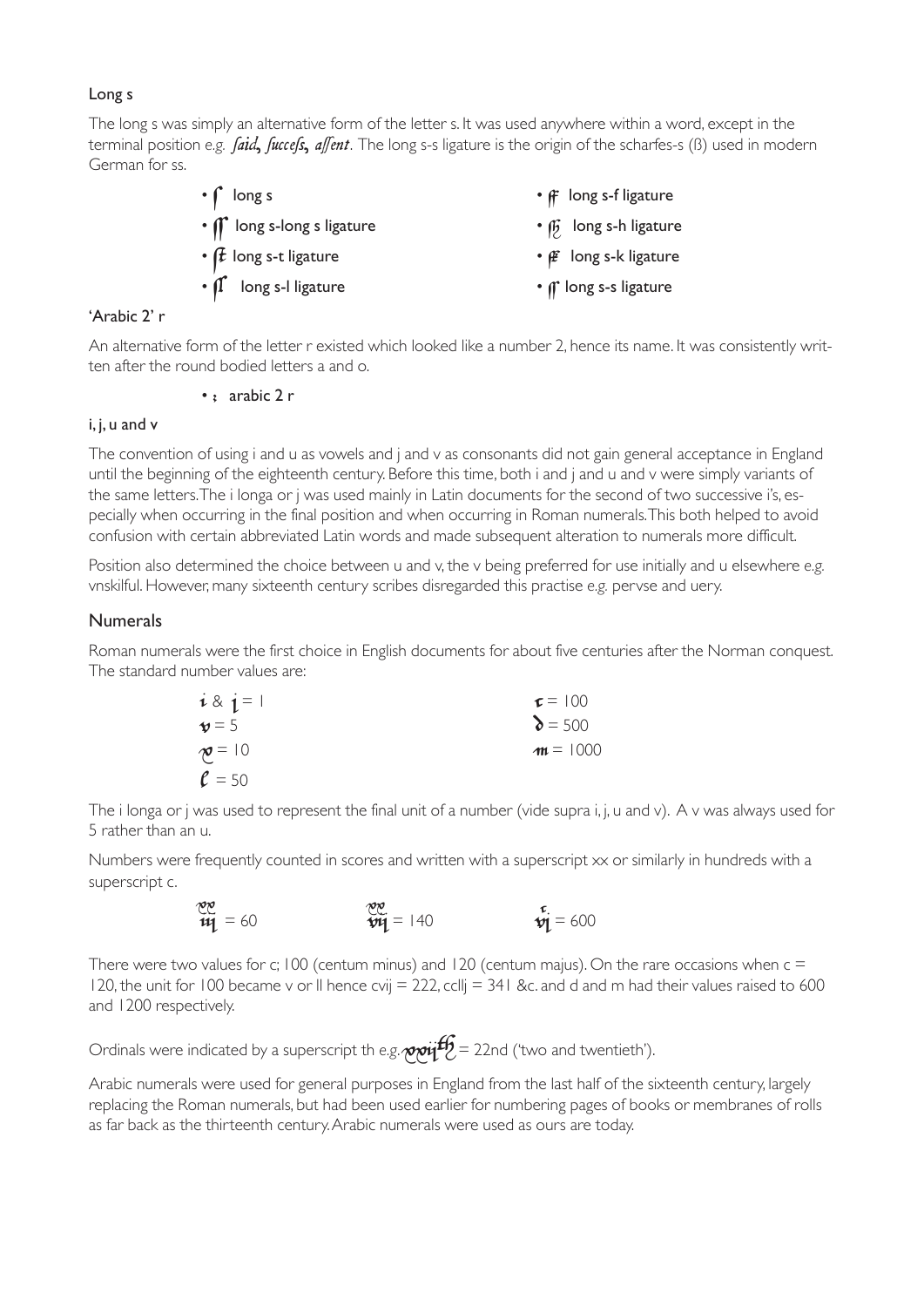#### Long s

The long s was simply an alternative form of the letter s. It was used anywhere within a word, except in the terminal position *e.g. faid, fuccefs, affent*. The long s-s ligature is the origin of the scharfes-s (ß) used in modern German for ss.

| $\cdot \int$ long s                          | $\cdot$ $\mathsf{f}$ long s-f ligature |
|----------------------------------------------|----------------------------------------|
| • <i>If</i> long s-long s ligature           | $\cdot$ $\beta$ long s-h ligature      |
| • $f$ long s-t ligature                      | • <i><b>E</b></i> long s-k ligature    |
| $\cdot$ $\int_{1}^{\cdot}$ long s-I ligature | • <i>If</i> long s-s ligature          |
|                                              |                                        |

#### 'Arabic 2' r

An alternative form of the letter r existed which looked like a number 2, hence its name. It was consistently written after the round bodied letters a and o.

#### $\cdot$  ; arabic 2 r

#### i, j, u and v

The convention of using i and u as vowels and j and v as consonants did not gain general acceptance in England until the beginning of the eighteenth century. Before this time, both i and j and u and v were simply variants of the same letters. The i longa or j was used mainly in Latin documents for the second of two successive i's, especially when occurring in the final position and when occurring in Roman numerals. This both helped to avoid confusion with certain abbreviated Latin words and made subsequent alteration to numerals more difficult.

Position also determined the choice between u and v, the v being preferred for use initially and u elsewhere *e.g.* vnskilful. However, many sixteenth century scribes disregarded this practise *e.g.* pervse and uery.

#### **Numerals**

Roman numerals were the first choice in English documents for about five centuries after the Norman conquest. The standard number values are:

| $i \& j = 1$        | $\tau = 100$   |
|---------------------|----------------|
| $\mathbf{v} = 5$    | $\delta$ = 500 |
| $\mathcal{P} = 10$  | $m = 1000$     |
| $\rho = \epsilon_0$ |                |

 $\ell$  = 50 The i longa or j was used to represent the final unit of a number (vide supra i, j, u and v). A v was always used for 5 rather than an u.

Numbers were frequently counted in scores and written with a superscript xx or similarly in hundreds with a superscript c.

$$
\frac{100}{14} = 60
$$
 
$$
\frac{100}{14} = 140
$$
 
$$
\frac{100}{14} = 600
$$

There were two values for c; 100 (centum minus) and 120 (centum majus). On the rare occasions when  $c =$ 120, the unit for 100 became v or II hence cvij  $= 222$ , ccllj  $= 341$  &c. and d and m had their values raised to 600 and 1200 respectively.

Ordinals were indicated by a superscript th *e.g.*  $\gamma$  $\gamma$ if  $\mathcal{G}$  = 22nd ('two and twentieth').

Arabic numerals were used for general purposes in England from the last half of the sixteenth century, largely replacing the Roman numerals, but had been used earlier for numbering pages of books or membranes of rolls as far back as the thirteenth century. Arabic numerals were used as ours are today.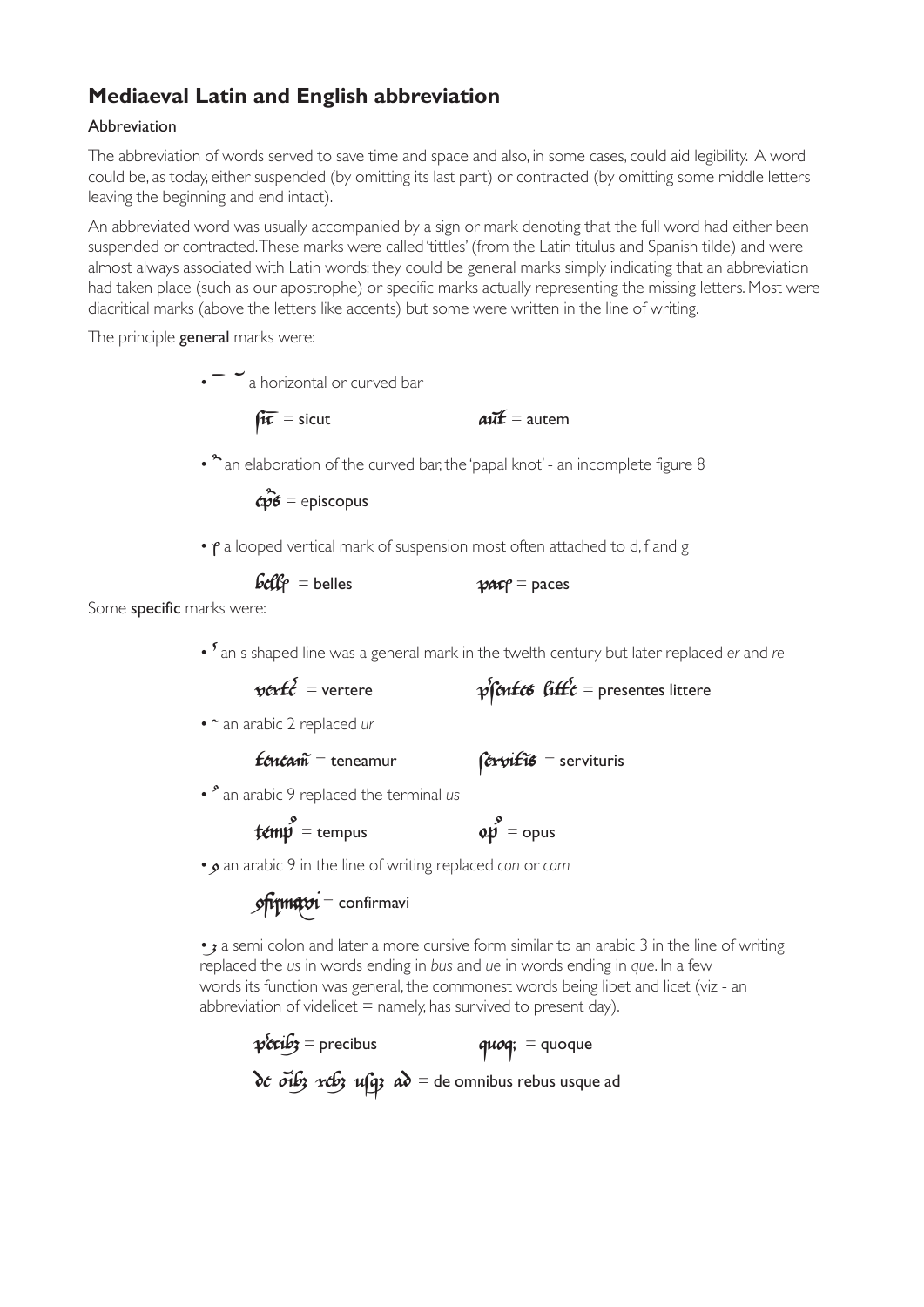## **Mediaeval Latin and English abbreviation**

#### Abbreviation

The abbreviation of words served to save time and space and also, in some cases, could aid legibility. A word could be, as today, either suspended (by omitting its last part) or contracted (by omitting some middle letters leaving the beginning and end intact).

An abbreviated word was usually accompanied by a sign or mark denoting that the full word had either been suspended or contracted. These marks were called 'tittles' (from the Latin titulus and Spanish tilde) and were almost always associated with Latin words; they could be general marks simply indicating that an abbreviation had taken place (such as our apostrophe) or specific marks actually representing the missing letters. Most were diacritical marks (above the letters like accents) but some were written in the line of writing.

The principle **general** marks were:

 $\cdot$   $\sim$   $\cdot$   $\cdot$  a horizontal or curved bar

 $\mathbf{f}\mathbf{x}$  = sicut  $\mathbf{a}\mathbf{x}$  = autem

•  $\degree$  an elaboration of the curved bar, the 'papal knot' - an incomplete figure 8

 $\mathbf{c}\hat{\mathbf{p}}\hat{\mathbf{s}}$  = episcopus

 $\cdot$   $\gamma$  a looped vertical mark of suspension most often attached to d, f and g

| $\mathbf{b}\mathbf{c}\mathbf{f}$ $\mathbf{c}$ = belles | $\mathcal{P}$ $\mathcal{A}$ $\mathcal{C}$ $\mathcal{C}$ $\mathcal{C}$ $\mathcal{D}$ $\mathcal{A}$ $\mathcal{C}$ $\mathcal{C}$ $\mathcal{C}$ $\mathcal{C}$ $\mathcal{C}$ $\mathcal{C}$ $\mathcal{C}$ $\mathcal{C}$ $\mathcal{C}$ $\mathcal{C}$ $\mathcal{C}$ $\mathcal{C}$ $\mathcal{C}$ $\mathcal{C}$ $\mathcal{C}$ $\mathcal{C}$ $\mathcal{C}$ $\mathcal{$ |
|--------------------------------------------------------|-------------------------------------------------------------------------------------------------------------------------------------------------------------------------------------------------------------------------------------------------------------------------------------------------------------------------------------------------------------|
| المسمورين مراويم ومستملكة والمستور المسموك             |                                                                                                                                                                                                                                                                                                                                                             |

Some specific marks were:

•  $\frac{1}{2}$  an s shaped line was a general mark in the twelth century but later replaced *er* and *re*<br>*v v v v v v v v v v v v v v v v v v v v* 

$$
= \text{vertex}
$$

 $\sqrt{v}$ ert $\hat{t}$ •  $\degree$  an arabic 2 replaced *ur* 

 $f$ *énéani* $\vec{r}$  = teneamur  $\hat{f}$ érvifi $\vec{s}$  = servituris

•  $^{\circ}$  an arabic 9 replaced the terminal us

 $t \in \mathbb{R}$  = tempus  $\mathbb{Q}$ 

 $\stackrel{\circ}{\mathcal{P}}$  = opus

• an arabic 9 in the line of writing replaced *con* or *com*

$$
\mathbf{P} = \mathbf{P} \mathbf{P} \mathbf{P}
$$

• **a** semi colon and later a more cursive form similar to an arabic 3 in the line of writing replaced the *us* in words ending in *bus* and *ue* in words ending in *que*. In a few words its function was general, the commonest words being libet and licet (viz - an abbreviation of videlicet  $=$  namely, has survived to present day).

 $p$ 'ccib $p$  = precibus  $q u o q$ ; = quoque  $\delta \epsilon$   $\tilde{\sigma}$ ib3 reb3 ufg3  $\alpha \delta$  = de omnibus rebus usque ad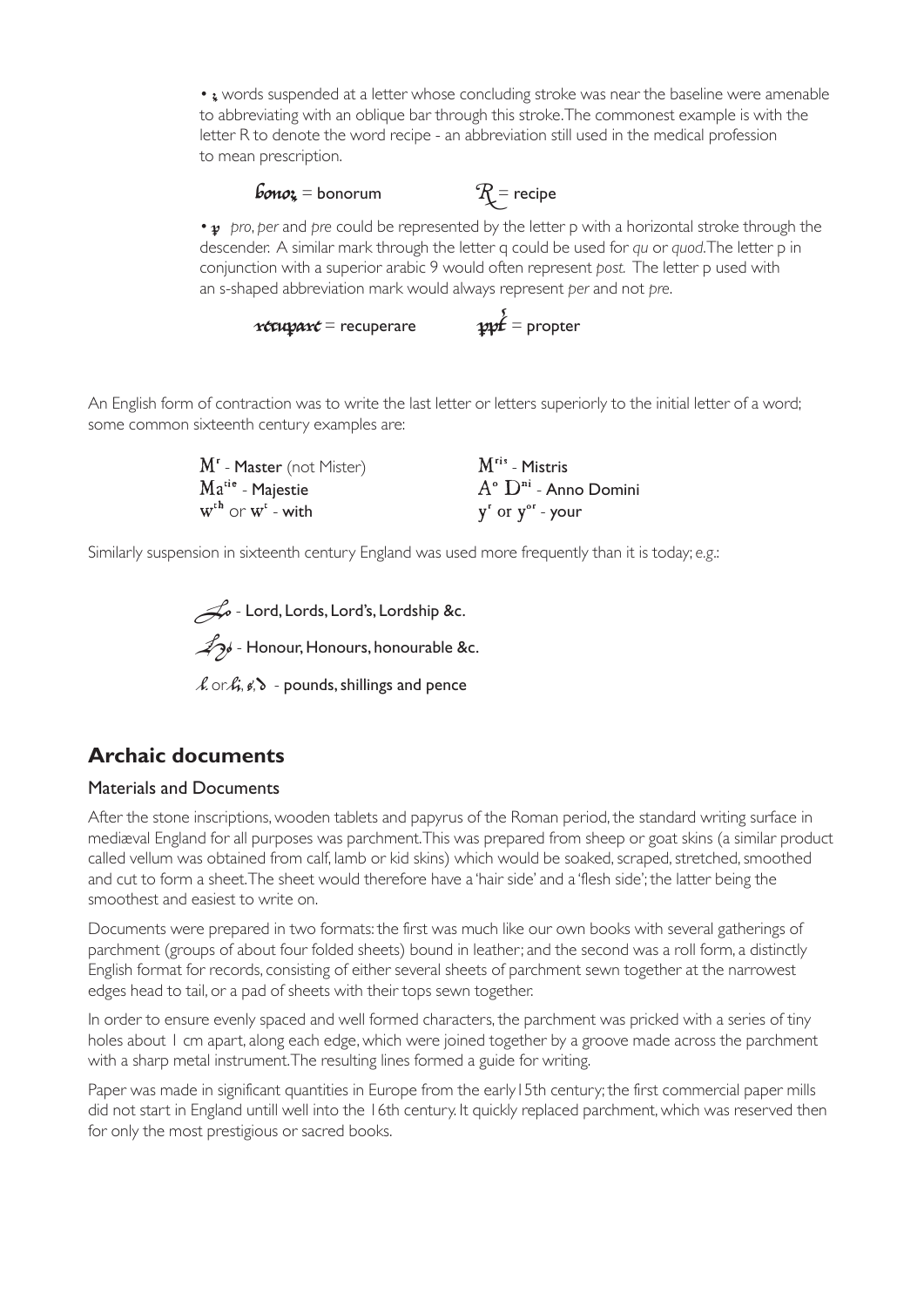•  $\bullet$  words suspended at a letter whose concluding stroke was near the baseline were amenable to abbreviating with an oblique bar through this stroke. The commonest example is with the letter R to denote the word recipe - an abbreviation still used in the medical profession to mean prescription.

## $\mathcal{B}_{\text{0}} = \text{boundary}$  = bonorum  $\mathcal{R} = \text{recipe}$

• **p** pro, per and pre could be represented by the letter p with a horizontal stroke through the descender. A similar mark through the letter q could be used for *qu* or *quod*. The letter p in conjunction with a superior arabic 9 would often represent *post.* The letter p used with an s-shaped abbreviation mark would always represent *per* and not *pre*.

# $r$ **ccuparc** = recuperare  $prf = pr$

An English form of contraction was to write the last letter or letters superiorly to the initial letter of a word; some common sixteenth century examples are:

| $Mr$ - <b>Master</b> (not Mister) | $Mris$ - Mistris                   |
|-----------------------------------|------------------------------------|
| $Matie$ - Majestie                | $A^{\circ}$ $D^{ni}$ - Anno Domini |
| $W^{th}$ or $W^{t}$ - with        | $y^{r}$ or $y^{or}$ - your         |

Similarly suspension in sixteenth century England was used more frequently than it is today; *e.g*.:

 $\mathcal{A}$  - Lord, Lords, Lord's, Lordship &c.  $\mathcal{L}_{\mathcal{P}}$  - Honour, Honours, honourable &c.

 $\lambda$  or  $\hat{h}, \hat{g}, \delta$  - pounds, shillings and pence

### **Archaic documents**

#### Materials and Documents

After the stone inscriptions, wooden tablets and papyrus of the Roman period, the standard writing surface in mediæval England for all purposes was parchment. This was prepared from sheep or goat skins (a similar product called vellum was obtained from calf, lamb or kid skins) which would be soaked, scraped, stretched, smoothed and cut to form a sheet. The sheet would therefore have a 'hair side' and a 'flesh side'; the latter being the smoothest and easiest to write on.

Documents were prepared in two formats: the first was much like our own books with several gatherings of parchment (groups of about four folded sheets) bound in leather; and the second was a roll form, a distinctly English format for records, consisting of either several sheets of parchment sewn together at the narrowest edges head to tail, or a pad of sheets with their tops sewn together.

In order to ensure evenly spaced and well formed characters, the parchment was pricked with a series of tiny holes about 1 cm apart, along each edge, which were joined together by a groove made across the parchment with a sharp metal instrument. The resulting lines formed a guide for writing.

Paper was made in significant quantities in Europe from the early15th century; the first commercial paper mills did not start in England untill well into the 16th century. It quickly replaced parchment, which was reserved then for only the most prestigious or sacred books.